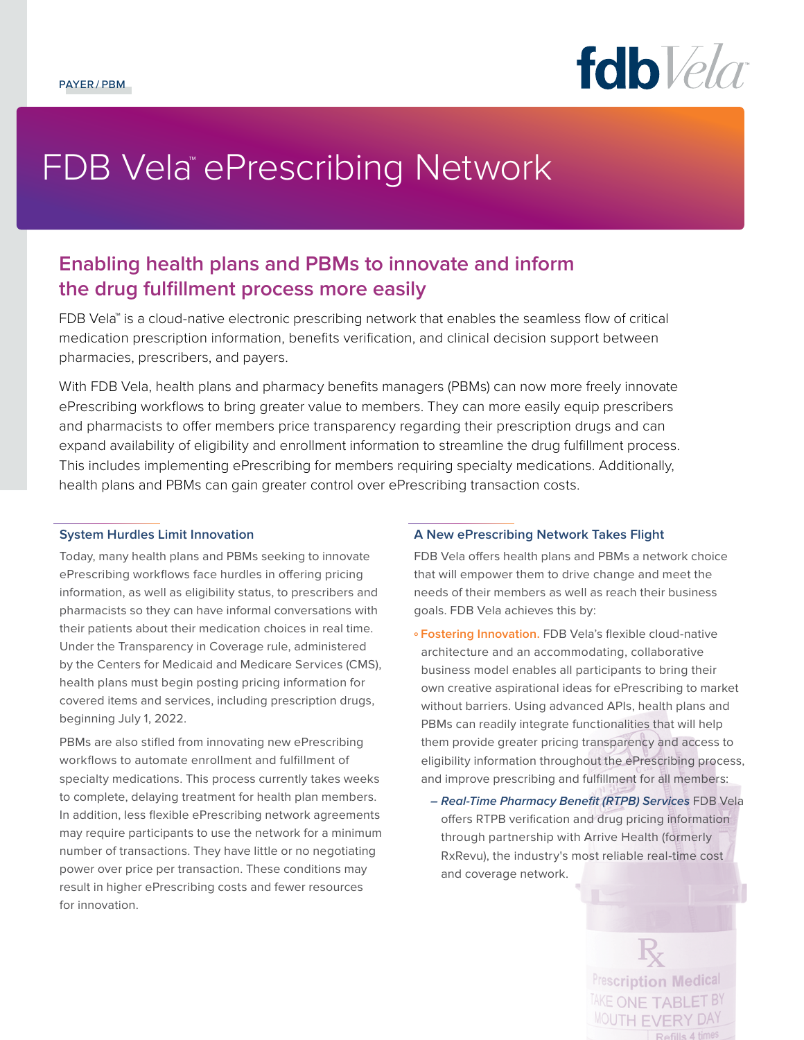

# FDB Vela™ePrescribing Network

# **Enabling health plans and PBMs to innovate and inform the drug fulfillment process more easily**

FDB Vela<sup>™</sup> is a cloud-native electronic prescribing network that enables the seamless flow of critical medication prescription information, benefits verification, and clinical decision support between pharmacies, prescribers, and payers.

With FDB Vela, health plans and pharmacy benefits managers (PBMs) can now more freely innovate ePrescribing workflows to bring greater value to members. They can more easily equip prescribers and pharmacists to offer members price transparency regarding their prescription drugs and can expand availability of eligibility and enrollment information to streamline the drug fulfillment process. This includes implementing ePrescribing for members requiring specialty medications. Additionally, health plans and PBMs can gain greater control over ePrescribing transaction costs.

#### **System Hurdles Limit Innovation**

Today, many health plans and PBMs seeking to innovate ePrescribing workflows face hurdles in offering pricing information, as well as eligibility status, to prescribers and pharmacists so they can have informal conversations with their patients about their medication choices in real time. Under the Transparency in Coverage rule, administered by the Centers for Medicaid and Medicare Services (CMS), health plans must begin posting pricing information for covered items and services, including prescription drugs, beginning July 1, 2022.

PBMs are also stifled from innovating new ePrescribing workflows to automate enrollment and fulfillment of specialty medications. This process currently takes weeks to complete, delaying treatment for health plan members. In addition, less flexible ePrescribing network agreements may require participants to use the network for a minimum number of transactions. They have little or no negotiating power over price per transaction. These conditions may result in higher ePrescribing costs and fewer resources for innovation.

### **A New ePrescribing Network Takes Flight**

FDB Vela offers health plans and PBMs a network choice that will empower them to drive change and meet the needs of their members as well as reach their business goals. FDB Vela achieves this by:

- **º Fostering Innovation.** FDB Vela's flexible cloud-native architecture and an accommodating, collaborative business model enables all participants to bring their own creative aspirational ideas for ePrescribing to market without barriers. Using advanced APIs, health plans and PBMs can readily integrate functionalities that will help them provide greater pricing transparency and access to eligibility information throughout the ePrescribing process, and improve prescribing and fulfillment for all members:
	- **Real-Time Pharmacy Benefit (RTPB) Services** FDB Vela offers RTPB verification and drug pricing information through partnership with Arrive Health (formerly RxRevu), the industry's most reliable real-time cost and coverage network.

**Prescription Medical** TAKE ONE TABLET BY **MOUTH EVERY DAY**